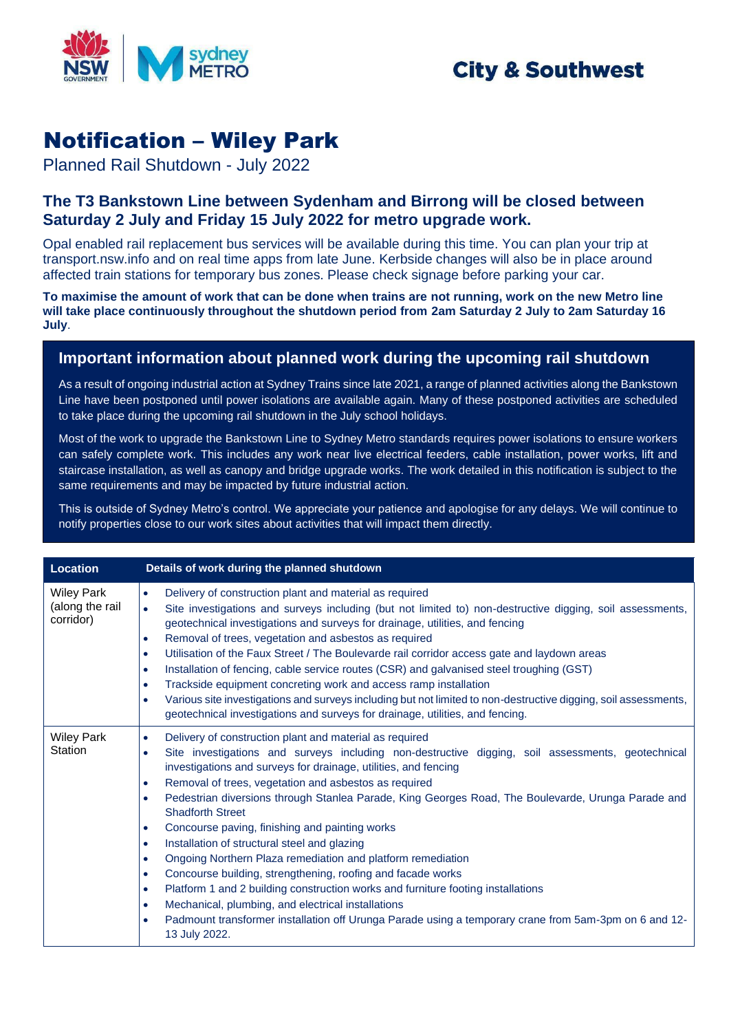

## **City & Southwest**

# Notification – Wiley Park

Planned Rail Shutdown - July 2022

## **The T3 Bankstown Line between Sydenham and Birrong will be closed between Saturday 2 July and Friday 15 July 2022 for metro upgrade work.**

Opal enabled rail replacement bus services will be available during this time. You can plan your trip at transport.nsw.info and on real time apps from late June. Kerbside changes will also be in place around affected train stations for temporary bus zones. Please check signage before parking your car.

**To maximise the amount of work that can be done when trains are not running, work on the new Metro line will take place continuously throughout the shutdown period from 2am Saturday 2 July to 2am Saturday 16 July**.

### **Important information about planned work during the upcoming rail shutdown**

As a result of ongoing industrial action at Sydney Trains since late 2021, a range of planned activities along the Bankstown Line have been postponed until power isolations are available again. Many of these postponed activities are scheduled to take place during the upcoming rail shutdown in the July school holidays.

Most of the work to upgrade the Bankstown Line to Sydney Metro standards requires power isolations to ensure workers can safely complete work. This includes any work near live electrical feeders, cable installation, power works, lift and staircase installation, as well as canopy and bridge upgrade works. The work detailed in this notification is subject to the same requirements and may be impacted by future industrial action.

This is outside of Sydney Metro's control. We appreciate your patience and apologise for any delays. We will continue to notify properties close to our work sites about activities that will impact them directly.

| Location                                          | Details of work during the planned shutdown                                                                                                                                                                                                                                                                                                                                                                                                                                                                                                                                                                                                                                                                                                                                                                                                                                                                                                                                                                                                                                  |
|---------------------------------------------------|------------------------------------------------------------------------------------------------------------------------------------------------------------------------------------------------------------------------------------------------------------------------------------------------------------------------------------------------------------------------------------------------------------------------------------------------------------------------------------------------------------------------------------------------------------------------------------------------------------------------------------------------------------------------------------------------------------------------------------------------------------------------------------------------------------------------------------------------------------------------------------------------------------------------------------------------------------------------------------------------------------------------------------------------------------------------------|
| <b>Wiley Park</b><br>(along the rail<br>corridor) | Delivery of construction plant and material as required<br>$\bullet$<br>Site investigations and surveys including (but not limited to) non-destructive digging, soil assessments,<br>$\bullet$<br>geotechnical investigations and surveys for drainage, utilities, and fencing<br>Removal of trees, vegetation and asbestos as required<br>$\bullet$<br>Utilisation of the Faux Street / The Boulevarde rail corridor access gate and laydown areas<br>$\bullet$<br>Installation of fencing, cable service routes (CSR) and galvanised steel troughing (GST)<br>$\bullet$<br>Trackside equipment concreting work and access ramp installation<br>$\bullet$<br>Various site investigations and surveys including but not limited to non-destructive digging, soil assessments,<br>$\bullet$<br>geotechnical investigations and surveys for drainage, utilities, and fencing.                                                                                                                                                                                                  |
| <b>Wiley Park</b><br>Station                      | Delivery of construction plant and material as required<br>$\bullet$<br>Site investigations and surveys including non-destructive digging, soil assessments, geotechnical<br>$\bullet$<br>investigations and surveys for drainage, utilities, and fencing<br>Removal of trees, vegetation and asbestos as required<br>$\bullet$<br>Pedestrian diversions through Stanlea Parade, King Georges Road, The Boulevarde, Urunga Parade and<br>$\bullet$<br><b>Shadforth Street</b><br>Concourse paving, finishing and painting works<br>$\bullet$<br>Installation of structural steel and glazing<br>$\bullet$<br>Ongoing Northern Plaza remediation and platform remediation<br>$\bullet$<br>Concourse building, strengthening, roofing and facade works<br>$\bullet$<br>Platform 1 and 2 building construction works and furniture footing installations<br>$\bullet$<br>Mechanical, plumbing, and electrical installations<br>$\bullet$<br>Padmount transformer installation off Urunga Parade using a temporary crane from 5am-3pm on 6 and 12-<br>$\bullet$<br>13 July 2022. |